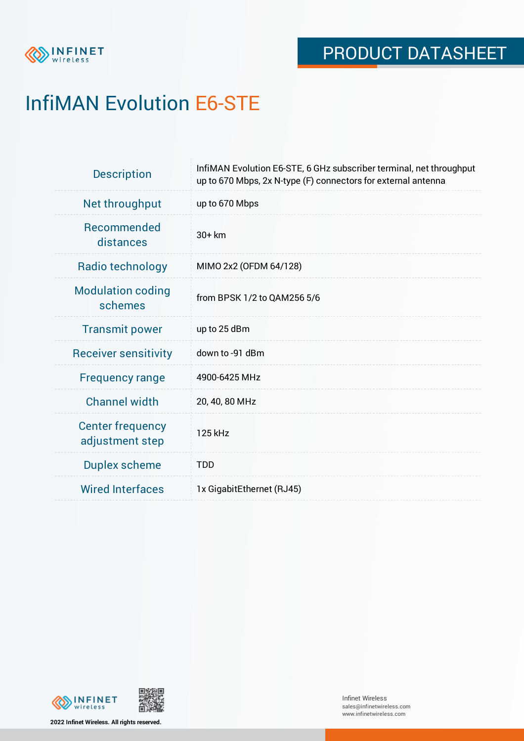

# InfiMAN Evolution E6-STE

| <b>Description</b>                         | InfiMAN Evolution E6-STE, 6 GHz subscriber terminal, net throughput<br>up to 670 Mbps, 2x N-type (F) connectors for external antenna |  |  |
|--------------------------------------------|--------------------------------------------------------------------------------------------------------------------------------------|--|--|
| Net throughput                             | up to 670 Mbps                                                                                                                       |  |  |
| <b>Recommended</b><br>distances            | $30+km$                                                                                                                              |  |  |
| Radio technology                           | MIMO 2x2 (OFDM 64/128)                                                                                                               |  |  |
| <b>Modulation coding</b><br>schemes        | from BPSK 1/2 to QAM256 5/6                                                                                                          |  |  |
| <b>Transmit power</b>                      | up to 25 dBm                                                                                                                         |  |  |
| <b>Receiver sensitivity</b>                | down to -91 dBm                                                                                                                      |  |  |
| <b>Frequency range</b>                     | 4900-6425 MHz                                                                                                                        |  |  |
| <b>Channel width</b>                       | 20, 40, 80 MHz                                                                                                                       |  |  |
| <b>Center frequency</b><br>adjustment step | 125 kHz                                                                                                                              |  |  |
| <b>Duplex scheme</b>                       | <b>TDD</b>                                                                                                                           |  |  |
| <b>Wired Interfaces</b>                    | 1x GigabitEthernet (RJ45)                                                                                                            |  |  |



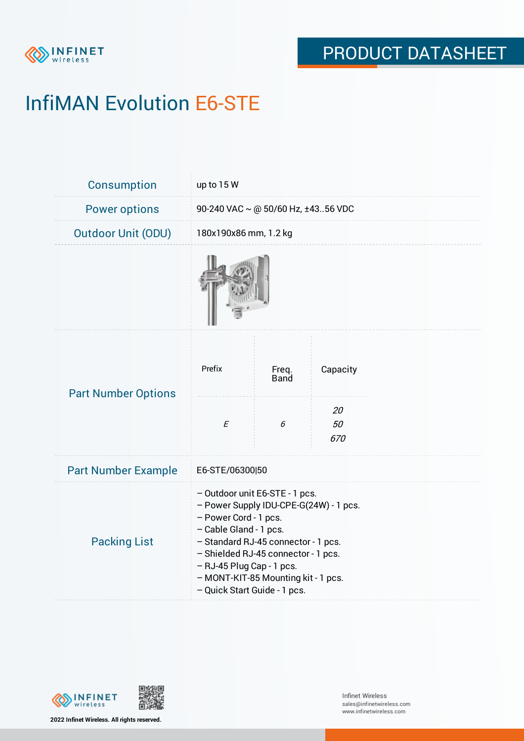

# InfiMAN Evolution E6-STE

| Consumption                | up to 15 W                                                                                                                                                                                                                                                                                                    |                      |                 |  |  |
|----------------------------|---------------------------------------------------------------------------------------------------------------------------------------------------------------------------------------------------------------------------------------------------------------------------------------------------------------|----------------------|-----------------|--|--|
| <b>Power options</b>       | 90-240 VAC $\sim$ @ 50/60 Hz, ±4356 VDC                                                                                                                                                                                                                                                                       |                      |                 |  |  |
| <b>Outdoor Unit (ODU)</b>  | 180x190x86 mm, 1.2 kg                                                                                                                                                                                                                                                                                         |                      |                 |  |  |
|                            |                                                                                                                                                                                                                                                                                                               |                      |                 |  |  |
| <b>Part Number Options</b> | Prefix                                                                                                                                                                                                                                                                                                        | Freq.<br><b>Band</b> | Capacity        |  |  |
|                            | $\cal E$                                                                                                                                                                                                                                                                                                      | 6                    | 20<br>50<br>670 |  |  |
| <b>Part Number Example</b> | E6-STE/06300 50                                                                                                                                                                                                                                                                                               |                      |                 |  |  |
| <b>Packing List</b>        | - Outdoor unit E6-STE - 1 pcs.<br>- Power Supply IDU-CPE-G(24W) - 1 pcs.<br>- Power Cord - 1 pcs.<br>- Cable Gland - 1 pcs.<br>- Standard RJ-45 connector - 1 pcs.<br>- Shielded RJ-45 connector - 1 pcs.<br>- RJ-45 Plug Cap - 1 pcs.<br>- MONT-KIT-85 Mounting kit - 1 pcs.<br>- Quick Start Guide - 1 pcs. |                      |                 |  |  |



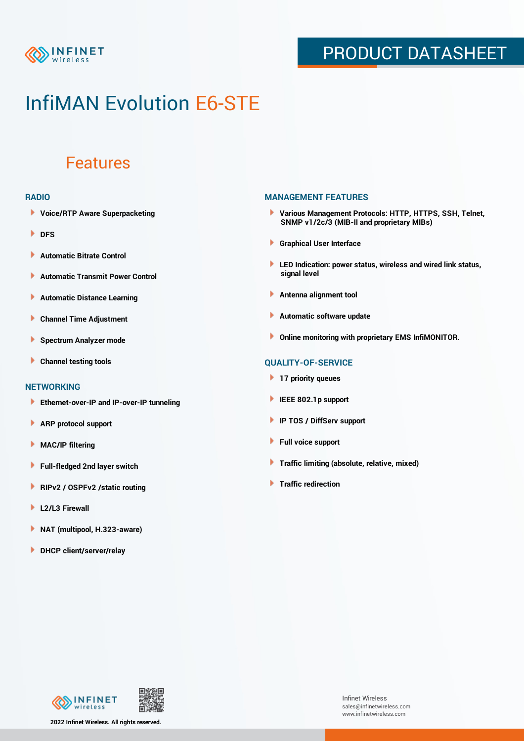

## PRODUCT DATASHEET

## InfiMAN Evolution E6-STE

### Features

#### **RADIO**

- **Voice/RTP Aware Superpacketing**
- **DFS**
- **Automatic Bitrate Control** Þ
- Þ **Automatic Transmit Power Control**
- Þ **Automatic Distance Learning**
- Þ **Channel Time Adjustment**
- Þ **Spectrum Analyzer mode**
- Þ **Channel testing tools**

### **NETWORKING**

- **Ethernet-over-IP and IP-over-IP tunneling**
- Þ **ARP protocol support**
- **MAC/IP filtering** Þ
- **Full-fledged 2nd layer switch**
- Þ **RIPv2 / OSPFv2 /static routing**
- ٠ **L2/L3 Firewall**
- × **NAT (multipool, H.323-aware)**
- **DHCP client/server/relay**

### **MANAGEMENT FEATURES**

- **Various Management Protocols: HTTP, HTTPS, SSH, Telnet, SNMP v1/2c/3 (MIB-II and proprietary MIBs)**
- **Graphical User Interface**
- **LED Indication: power status, wireless and wired link status, signal level**
- **Antenna alignment tool**
- ٠ **Automatic software update**
- **Online monitoring with proprietary EMS InfiMONITOR.**

### **QUALITY-OF-SERVICE**

- **17 priority queues**
- **IEEE 802.1p support**
- **IP TOS / DiffServ support**
- ٠ **Full voice support**
- **Traffic limiting (absolute, relative, mixed)** ٠
- **Traffic redirection**